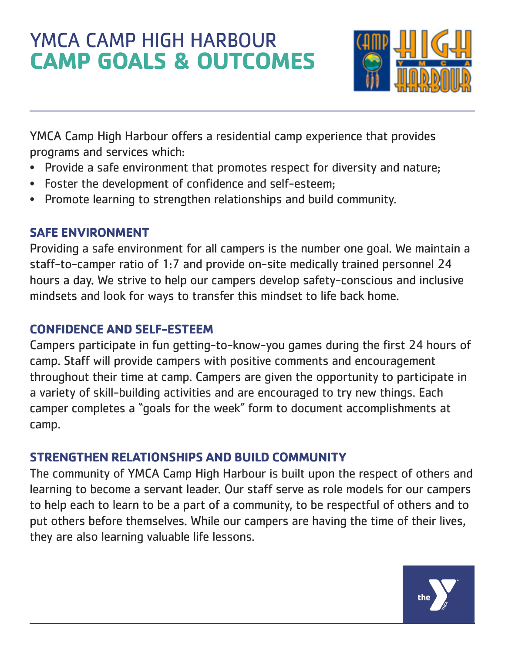# YMCA CAMP HIGH HARBOUR **CAMP GOALS & OUTCOMES**



YMCA Camp High Harbour offers a residential camp experience that provides programs and services which:

- Provide a safe environment that promotes respect for diversity and nature;
- Foster the development of confidence and self-esteem;
- Promote learning to strengthen relationships and build community.

#### **SAFE ENVIRONMENT**

Providing a safe environment for all campers is the number one goal. We maintain a staff-to-camper ratio of 1:7 and provide on-site medically trained personnel 24 hours a day. We strive to help our campers develop safety-conscious and inclusive mindsets and look for ways to transfer this mindset to life back home.

### **CONFIDENCE AND SELF-ESTEEM**

Campers participate in fun getting-to-know-you games during the first 24 hours of camp. Staff will provide campers with positive comments and encouragement throughout their time at camp. Campers are given the opportunity to participate in a variety of skill-building activities and are encouraged to try new things. Each camper completes a "goals for the week" form to document accomplishments at camp.

#### **STRENGTHEN RELATIONSHIPS AND BUILD COMMUNITY**

The community of YMCA Camp High Harbour is built upon the respect of others and learning to become a servant leader. Our staff serve as role models for our campers to help each to learn to be a part of a community, to be respectful of others and to put others before themselves. While our campers are having the time of their lives, they are also learning valuable life lessons.